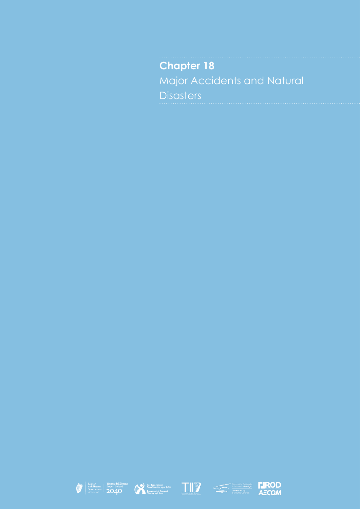**Chapter 18** Major Accidents and Natural **Disasters** 









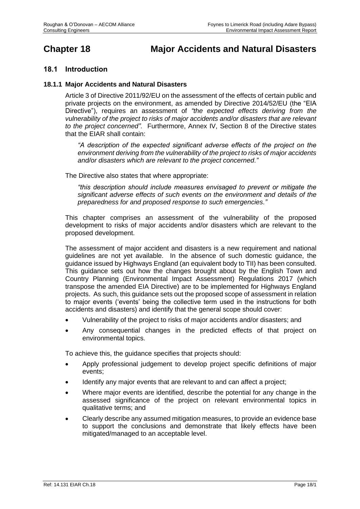# **Chapter 18 Major Accidents and Natural Disasters**

## **18.1 Introduction**

#### **18.1.1 Major Accidents and Natural Disasters**

Article 3 of Directive 2011/92/EU on the assessment of the effects of certain public and private projects on the environment, as amended by Directive 2014/52/EU (the "EIA Directive"), requires an assessment of *"the expected effects deriving from the vulnerability of the project to risks of major accidents and/or disasters that are relevant to the project concerned".* Furthermore, Annex IV, Section 8 of the Directive states that the EIAR shall contain:

*"A description of the expected significant adverse effects of the project on the environment deriving from the vulnerability of the project to risks of major accidents and/or disasters which are relevant to the project concerned."* 

The Directive also states that where appropriate:

*"this description should include measures envisaged to prevent or mitigate the significant adverse effects of such events on the environment and details of the preparedness for and proposed response to such emergencies."*

This chapter comprises an assessment of the vulnerability of the proposed development to risks of major accidents and/or disasters which are relevant to the proposed development.

The assessment of major accident and disasters is a new requirement and national guidelines are not yet available. In the absence of such domestic guidance, the guidance issued by Highways England (an equivalent body to TII) has been consulted. This guidance sets out how the changes brought about by the English Town and Country Planning (Environmental Impact Assessment) Regulations 2017 (which transpose the amended EIA Directive) are to be implemented for Highways England projects. As such, this guidance sets out the proposed scope of assessment in relation to major events ('events' being the collective term used in the instructions for both accidents and disasters) and identify that the general scope should cover:

- Vulnerability of the project to risks of major accidents and/or disasters; and
- Any consequential changes in the predicted effects of that project on environmental topics.

To achieve this, the guidance specifies that projects should:

- Apply professional judgement to develop project specific definitions of major events;
- Identify any major events that are relevant to and can affect a project;
- Where major events are identified, describe the potential for any change in the assessed significance of the project on relevant environmental topics in qualitative terms; and
- Clearly describe any assumed mitigation measures, to provide an evidence base to support the conclusions and demonstrate that likely effects have been mitigated/managed to an acceptable level.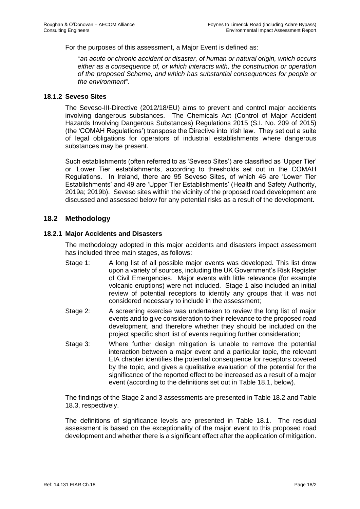For the purposes of this assessment, a Major Event is defined as:

*"an acute or chronic accident or disaster, of human or natural origin, which occurs either as a consequence of, or which interacts with, the construction or operation of the proposed Scheme, and which has substantial consequences for people or the environment".*

#### **18.1.2 Seveso Sites**

The Seveso-III-Directive (2012/18/EU) aims to prevent and control major accidents involving dangerous substances. The Chemicals Act (Control of Major Accident Hazards Involving Dangerous Substances) Regulations 2015 (S.I. No. 209 of 2015) (the 'COMAH Regulations') transpose the Directive into Irish law. They set out a suite of legal obligations for operators of industrial establishments where dangerous substances may be present.

Such establishments (often referred to as 'Seveso Sites') are classified as 'Upper Tier' or 'Lower Tier' establishments, according to thresholds set out in the COMAH Regulations. In Ireland, there are 95 Seveso Sites, of which 46 are 'Lower Tier Establishments' and 49 are 'Upper Tier Establishments' (Health and Safety Authority, 2019a; 2019b). Seveso sites within the vicinity of the proposed road development are discussed and assessed below for any potential risks as a result of the development.

#### **18.2 Methodology**

#### **18.2.1 Major Accidents and Disasters**

The methodology adopted in this major accidents and disasters impact assessment has included three main stages, as follows:

- Stage 1: A long list of all possible major events was developed. This list drew upon a variety of sources, including the UK Government's Risk Register of Civil Emergencies. Major events with little relevance (for example volcanic eruptions) were not included. Stage 1 also included an initial review of potential receptors to identify any groups that it was not considered necessary to include in the assessment;
- Stage 2: A screening exercise was undertaken to review the long list of major events and to give consideration to their relevance to the proposed road development, and therefore whether they should be included on the project specific short list of events requiring further consideration;
- Stage 3: Where further design mitigation is unable to remove the potential interaction between a major event and a particular topic, the relevant EIA chapter identifies the potential consequence for receptors covered by the topic, and gives a qualitative evaluation of the potential for the significance of the reported effect to be increased as a result of a major event (according to the definitions set out in [Table 18.1,](#page-3-0) below).

The findings of the Stage 2 and 3 assessments are presented in [Table 18.2](#page-5-0) and [Table](#page-12-0)  [18.3,](#page-12-0) respectively.

The definitions of significance levels are presented in [Table 18.1.](#page-3-0) The residual assessment is based on the exceptionality of the major event to this proposed road development and whether there is a significant effect after the application of mitigation.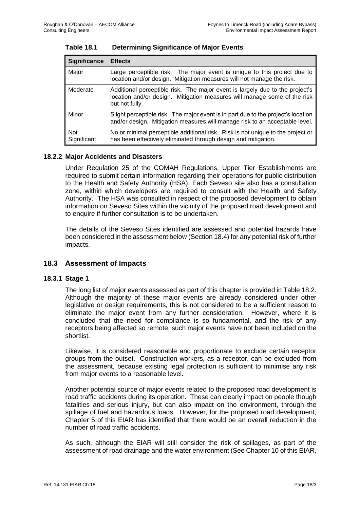| <b>Significance</b>       | <b>Effects</b>                                                                                                                                                             |
|---------------------------|----------------------------------------------------------------------------------------------------------------------------------------------------------------------------|
| Major                     | Large perceptible risk. The major event is unique to this project due to<br>location and/or design. Mitigation measures will not manage the risk.                          |
| Moderate                  | Additional perceptible risk. The major event is largely due to the project's<br>location and/or design. Mitigation measures will manage some of the risk<br>but not fully. |
| Minor                     | Slight perceptible risk. The major event is in part due to the project's location<br>and/or design. Mitigation measures will manage risk to an acceptable level.           |
| <b>Not</b><br>Significant | No or minimal perceptible additional risk. Risk is not unique to the project or<br>has been effectively eliminated through design and mitigation.                          |

<span id="page-3-0"></span>

#### **18.2.2 Major Accidents and Disasters**

Under Regulation 25 of the COMAH Regulations, Upper Tier Establishments are required to submit certain information regarding their operations for public distribution to the Health and Safety Authority (HSA). Each Seveso site also has a consultation zone, within which developers are required to consult with the Health and Safety Authority. The HSA was consulted in respect of the proposed development to obtain information on Seveso Sites within the vicinity of the proposed road development and to enquire if further consultation is to be undertaken.

The details of the Seveso Sites identified are assessed and potential hazards have been considered in the assessment below (Section 18.4) for any potential risk of further impacts.

#### **18.3 Assessment of Impacts**

#### **18.3.1 Stage 1**

The long list of major events assessed as part of this chapter is provided i[n Table 18.2.](#page-5-0) Although the majority of these major events are already considered under other legislative or design requirements, this is not considered to be a sufficient reason to eliminate the major event from any further consideration. However, where it is concluded that the need for compliance is so fundamental, and the risk of any receptors being affected so remote, such major events have not been included on the shortlist.

Likewise, it is considered reasonable and proportionate to exclude certain receptor groups from the outset. Construction workers, as a receptor, can be excluded from the assessment, because existing legal protection is sufficient to minimise any risk from major events to a reasonable level.

Another potential source of major events related to the proposed road development is road traffic accidents during its operation. These can clearly impact on people though fatalities and serious injury, but can also impact on the environment, through the spillage of fuel and hazardous loads. However, for the proposed road development, Chapter 5 of this EIAR has identified that there would be an overall reduction in the number of road traffic accidents.

As such, although the EIAR will still consider the risk of spillages, as part of the assessment of road drainage and the water environment (See Chapter 10 of this EIAR,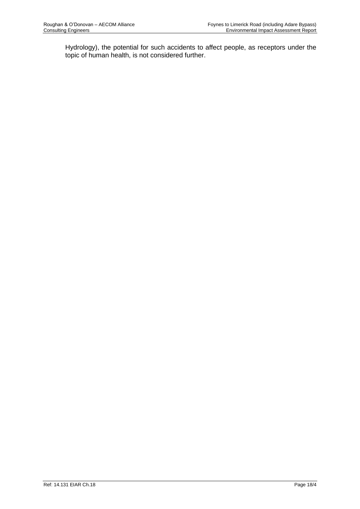Hydrology), the potential for such accidents to affect people, as receptors under the topic of human health, is not considered further.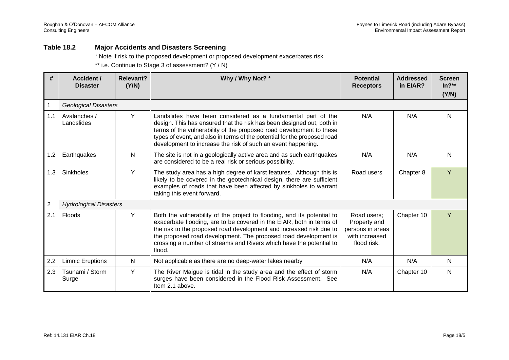#### **Table 18.2 Major Accidents and Disasters Screening**

\* Note if risk to the proposed development or proposed development exacerbates risk

\*\* i.e. Continue to Stage 3 of assessment? (Y / N)

<span id="page-5-0"></span>

| #   | <b>Accident /</b><br><b>Disaster</b>                                                                                                                                                                                                                                                                                                                                                         | Why / Why Not? *<br>Relevant?<br>(Y/N) |                                                                                                                                                                                                                                                  | <b>Potential</b><br><b>Receptors</b> | <b>Addressed</b><br>in EIAR? | <b>Screen</b><br>$In?**$<br>(Y/N) |  |  |  |
|-----|----------------------------------------------------------------------------------------------------------------------------------------------------------------------------------------------------------------------------------------------------------------------------------------------------------------------------------------------------------------------------------------------|----------------------------------------|--------------------------------------------------------------------------------------------------------------------------------------------------------------------------------------------------------------------------------------------------|--------------------------------------|------------------------------|-----------------------------------|--|--|--|
|     | <b>Geological Disasters</b>                                                                                                                                                                                                                                                                                                                                                                  |                                        |                                                                                                                                                                                                                                                  |                                      |                              |                                   |  |  |  |
| 1.1 | Y<br>Avalanches /<br>Landslides have been considered as a fundamental part of the<br>design. This has ensured that the risk has been designed out, both in<br>Landslides<br>terms of the vulnerability of the proposed road development to these<br>types of event, and also in terms of the potential for the proposed road<br>development to increase the risk of such an event happening. |                                        | N/A                                                                                                                                                                                                                                              | N/A                                  | $\mathsf{N}$                 |                                   |  |  |  |
| 1.2 | Earthquakes                                                                                                                                                                                                                                                                                                                                                                                  | N                                      | The site is not in a geologically active area and as such earthquakes<br>are considered to be a real risk or serious possibility.                                                                                                                | N/A                                  | N/A                          | N                                 |  |  |  |
| 1.3 | Sinkholes                                                                                                                                                                                                                                                                                                                                                                                    | Y                                      | The study area has a high degree of karst features. Although this is<br>likely to be covered in the geotechnical design, there are sufficient<br>examples of roads that have been affected by sinkholes to warrant<br>taking this event forward. | Road users                           | Chapter 8                    | Y                                 |  |  |  |
| 2   | <b>Hydrological Disasters</b>                                                                                                                                                                                                                                                                                                                                                                |                                        |                                                                                                                                                                                                                                                  |                                      |                              |                                   |  |  |  |
| 2.1 | Y<br>Floods<br>Both the vulnerability of the project to flooding, and its potential to<br>exacerbate flooding, are to be covered in the EIAR, both in terms of<br>the risk to the proposed road development and increased risk due to<br>the proposed road development. The proposed road development is<br>crossing a number of streams and Rivers which have the potential to<br>flood.    |                                        | Road users;<br>Property and<br>persons in areas<br>with increased<br>flood risk.                                                                                                                                                                 | Chapter 10                           | Y                            |                                   |  |  |  |
| 2.2 | <b>Limnic Eruptions</b>                                                                                                                                                                                                                                                                                                                                                                      | N                                      | Not applicable as there are no deep-water lakes nearby                                                                                                                                                                                           | N/A                                  | N/A                          | N                                 |  |  |  |
| 2.3 | Tsunami / Storm<br>Surge                                                                                                                                                                                                                                                                                                                                                                     | Y                                      | The River Maigue is tidal in the study area and the effect of storm<br>surges have been considered in the Flood Risk Assessment. See<br>Item 2.1 above.                                                                                          | N/A                                  | Chapter 10                   | $\mathsf{N}$                      |  |  |  |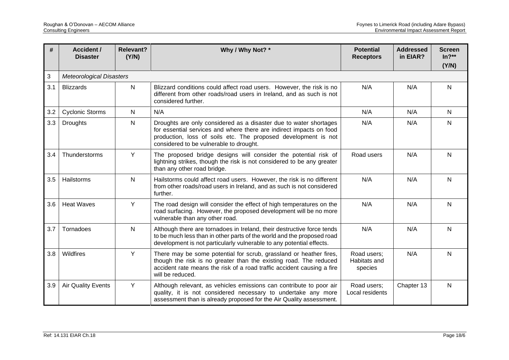| #   | Relevant?<br>Why / Why Not? *<br><b>Accident /</b><br>(Y/N)<br><b>Disaster</b>                                                                                                                                                                                                    |              | <b>Potential</b><br><b>Receptors</b>                                                                                                                                                                                                  | <b>Addressed</b><br>in EIAR?           | <b>Screen</b><br>$In?**$<br>(Y/N) |              |
|-----|-----------------------------------------------------------------------------------------------------------------------------------------------------------------------------------------------------------------------------------------------------------------------------------|--------------|---------------------------------------------------------------------------------------------------------------------------------------------------------------------------------------------------------------------------------------|----------------------------------------|-----------------------------------|--------------|
| 3   | <b>Meteorological Disasters</b>                                                                                                                                                                                                                                                   |              |                                                                                                                                                                                                                                       |                                        |                                   |              |
| 3.1 | <b>Blizzards</b>                                                                                                                                                                                                                                                                  | $\mathsf{N}$ | Blizzard conditions could affect road users. However, the risk is no<br>different from other roads/road users in Ireland, and as such is not<br>considered further.                                                                   | N/A                                    | N/A                               | N            |
| 3.2 | <b>Cyclonic Storms</b>                                                                                                                                                                                                                                                            | $\mathsf{N}$ | N/A                                                                                                                                                                                                                                   | N/A                                    | N/A                               | N            |
| 3.3 | $\mathsf{N}$<br>Droughts<br>Droughts are only considered as a disaster due to water shortages<br>for essential services and where there are indirect impacts on food<br>production, loss of soils etc. The proposed development is not<br>considered to be vulnerable to drought. |              | N/A                                                                                                                                                                                                                                   | N/A                                    | N                                 |              |
| 3.4 | Thunderstorms                                                                                                                                                                                                                                                                     | Y            | The proposed bridge designs will consider the potential risk of<br>lightning strikes, though the risk is not considered to be any greater<br>than any other road bridge.                                                              | Road users                             | N/A                               | N            |
| 3.5 | Hailstorms                                                                                                                                                                                                                                                                        | $\mathsf{N}$ | Hailstorms could affect road users. However, the risk is no different<br>from other roads/road users in Ireland, and as such is not considered<br>further.                                                                            | N/A                                    | N/A                               | N            |
| 3.6 | Y<br><b>Heat Waves</b><br>The road design will consider the effect of high temperatures on the<br>road surfacing. However, the proposed development will be no more                                                                                                               |              | vulnerable than any other road.                                                                                                                                                                                                       | N/A                                    | N/A                               | N            |
| 3.7 | Tornadoes                                                                                                                                                                                                                                                                         | N            | Although there are tornadoes in Ireland, their destructive force tends<br>to be much less than in other parts of the world and the proposed road<br>development is not particularly vulnerable to any potential effects.              | N/A                                    | N/A                               | N            |
| 3.8 | Wildfires                                                                                                                                                                                                                                                                         | Y            | There may be some potential for scrub, grassland or heather fires,<br>though the risk is no greater than the existing road. The reduced<br>accident rate means the risk of a road traffic accident causing a fire<br>will be reduced. | Road users;<br>Habitats and<br>species | N/A                               | N            |
| 3.9 | <b>Air Quality Events</b>                                                                                                                                                                                                                                                         | Y            | Although relevant, as vehicles emissions can contribute to poor air<br>quality, it is not considered necessary to undertake any more<br>assessment than is already proposed for the Air Quality assessment.                           | Road users;<br>Local residents         | Chapter 13                        | $\mathsf{N}$ |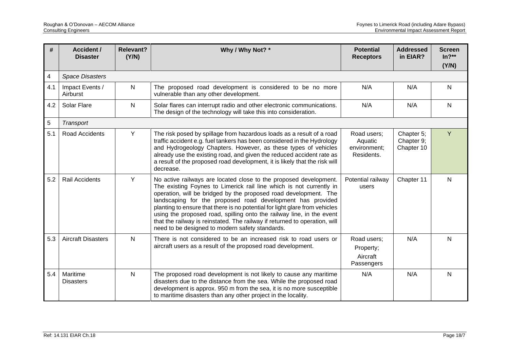| #   | <b>Accident /</b><br><b>Disaster</b>                                                                                                                         | <b>Relevant?</b><br>Why / Why Not? *<br>(Y/N) |                                                                                                                                                                                                                                                                                                                                                                                                                                                                                                                                                                     | <b>Potential</b><br><b>Receptors</b>                 | <b>Addressed</b><br>in EIAR?           | <b>Screen</b><br>$In?**$<br>(Y/N) |
|-----|--------------------------------------------------------------------------------------------------------------------------------------------------------------|-----------------------------------------------|---------------------------------------------------------------------------------------------------------------------------------------------------------------------------------------------------------------------------------------------------------------------------------------------------------------------------------------------------------------------------------------------------------------------------------------------------------------------------------------------------------------------------------------------------------------------|------------------------------------------------------|----------------------------------------|-----------------------------------|
| 4   | <b>Space Disasters</b>                                                                                                                                       |                                               |                                                                                                                                                                                                                                                                                                                                                                                                                                                                                                                                                                     |                                                      |                                        |                                   |
| 4.1 | Impact Events /<br>Airburst                                                                                                                                  | N                                             | The proposed road development is considered to be no more<br>vulnerable than any other development.                                                                                                                                                                                                                                                                                                                                                                                                                                                                 | N/A                                                  | N/A                                    | N                                 |
| 4.2 | N<br>Solar Flare<br>Solar flares can interrupt radio and other electronic communications.<br>The design of the technology will take this into consideration. |                                               | N/A                                                                                                                                                                                                                                                                                                                                                                                                                                                                                                                                                                 | N/A                                                  | N                                      |                                   |
| 5   | Transport                                                                                                                                                    |                                               |                                                                                                                                                                                                                                                                                                                                                                                                                                                                                                                                                                     |                                                      |                                        |                                   |
| 5.1 | Road Accidents                                                                                                                                               | Y                                             | The risk posed by spillage from hazardous loads as a result of a road<br>traffic accident e.g. fuel tankers has been considered in the Hydrology<br>and Hydrogeology Chapters. However, as these types of vehicles<br>already use the existing road, and given the reduced accident rate as<br>a result of the proposed road development, it is likely that the risk will<br>decrease.                                                                                                                                                                              | Road users:<br>Aquatic<br>environment;<br>Residents. | Chapter 5;<br>Chapter 9;<br>Chapter 10 | Ÿ                                 |
| 5.2 | <b>Rail Accidents</b>                                                                                                                                        | Y                                             | No active railways are located close to the proposed development.<br>The existing Foynes to Limerick rail line which is not currently in<br>operation, will be bridged by the proposed road development. The<br>landscaping for the proposed road development has provided<br>planting to ensure that there is no potential for light glare from vehicles<br>using the proposed road, spilling onto the railway line, in the event<br>that the railway is reinstated. The railway if returned to operation, will<br>need to be designed to modern safety standards. | Potential railway<br>users                           | Chapter 11                             | N                                 |
| 5.3 | <b>Aircraft Disasters</b>                                                                                                                                    | ${\sf N}$                                     | There is not considered to be an increased risk to road users or<br>aircraft users as a result of the proposed road development.                                                                                                                                                                                                                                                                                                                                                                                                                                    | Road users;<br>Property;<br>Aircraft<br>Passengers   | N/A                                    | N                                 |
| 5.4 | Maritime<br><b>Disasters</b>                                                                                                                                 | $\mathsf{N}$                                  | The proposed road development is not likely to cause any maritime<br>disasters due to the distance from the sea. While the proposed road<br>development is approx. 950 m from the sea, it is no more susceptible<br>to maritime disasters than any other project in the locality.                                                                                                                                                                                                                                                                                   | N/A                                                  | N/A                                    | N                                 |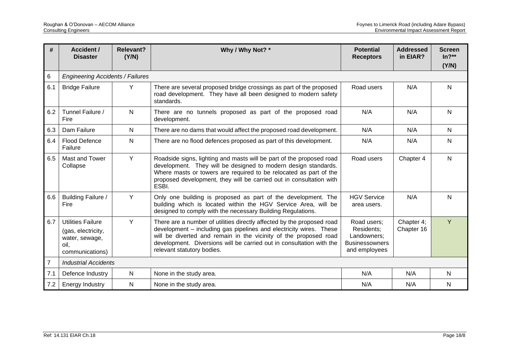| #              | <b>Relevant?</b><br>Why / Why Not? *<br><b>Accident /</b><br>(Y/N)<br><b>Disaster</b>                                                                                                                                                                                                                                          |              | <b>Potential</b><br><b>Receptors</b>                                                                                                                                                                                                                                                                                   | <b>Addressed</b><br>in EIAR?                                                       | <b>Screen</b><br>$In?**$<br>(Y/N) |              |  |  |
|----------------|--------------------------------------------------------------------------------------------------------------------------------------------------------------------------------------------------------------------------------------------------------------------------------------------------------------------------------|--------------|------------------------------------------------------------------------------------------------------------------------------------------------------------------------------------------------------------------------------------------------------------------------------------------------------------------------|------------------------------------------------------------------------------------|-----------------------------------|--------------|--|--|
| 6              | <b>Engineering Accidents / Failures</b>                                                                                                                                                                                                                                                                                        |              |                                                                                                                                                                                                                                                                                                                        |                                                                                    |                                   |              |  |  |
| 6.1            | <b>Bridge Failure</b>                                                                                                                                                                                                                                                                                                          | Y            | There are several proposed bridge crossings as part of the proposed<br>road development. They have all been designed to modern safety<br>standards.                                                                                                                                                                    | Road users                                                                         | N/A                               | $\mathsf{N}$ |  |  |
| 6.2            | Tunnel Failure /<br>N<br>There are no tunnels proposed as part of the proposed road<br>Fire<br>development.                                                                                                                                                                                                                    |              | N/A                                                                                                                                                                                                                                                                                                                    | N/A                                                                                | N                                 |              |  |  |
| 6.3            | Dam Failure                                                                                                                                                                                                                                                                                                                    | N            | There are no dams that would affect the proposed road development.                                                                                                                                                                                                                                                     | N/A                                                                                | N/A                               | N            |  |  |
| 6.4            | Flood Defence<br>N<br>There are no flood defences proposed as part of this development.<br>Failure                                                                                                                                                                                                                             |              | N/A                                                                                                                                                                                                                                                                                                                    | N/A                                                                                | $\mathsf{N}$                      |              |  |  |
| 6.5            | Y<br>Mast and Tower<br>Roadside signs, lighting and masts will be part of the proposed road<br>development. They will be designed to modern design standards.<br>Collapse<br>Where masts or towers are required to be relocated as part of the<br>proposed development, they will be carried out in consultation with<br>ESBI. |              | Road users                                                                                                                                                                                                                                                                                                             | Chapter 4                                                                          | N                                 |              |  |  |
| 6.6            | Y<br>Building Failure /<br>Only one building is proposed as part of the development. The<br>building which is located within the HGV Service Area, will be<br>Fire<br>designed to comply with the necessary Building Regulations.                                                                                              |              | <b>HGV Service</b><br>area users.                                                                                                                                                                                                                                                                                      | N/A                                                                                | N                                 |              |  |  |
| 6.7            | <b>Utilities Failure</b><br>(gas, electricity,<br>water, sewage,<br>oil.<br>communications)                                                                                                                                                                                                                                    | Y            | There are a number of utilities directly affected by the proposed road<br>development - including gas pipelines and electricity wires. These<br>will be diverted and remain in the vicinity of the proposed road<br>development. Diversions will be carried out in consultation with the<br>relevant statutory bodies. | Road users:<br>Residents;<br>Landowners;<br><b>Businessowners</b><br>and employees | Chapter 4;<br>Chapter 16          | Ÿ            |  |  |
| $\overline{7}$ | <b>Industrial Accidents</b>                                                                                                                                                                                                                                                                                                    |              |                                                                                                                                                                                                                                                                                                                        |                                                                                    |                                   |              |  |  |
| 7.1            | Defence Industry                                                                                                                                                                                                                                                                                                               | $\mathsf{N}$ | None in the study area.                                                                                                                                                                                                                                                                                                | N/A                                                                                | N/A                               | $\mathsf{N}$ |  |  |
| 7.2            | <b>Energy Industry</b>                                                                                                                                                                                                                                                                                                         | N            | None in the study area.                                                                                                                                                                                                                                                                                                | N/A                                                                                | N/A                               | $\mathsf{N}$ |  |  |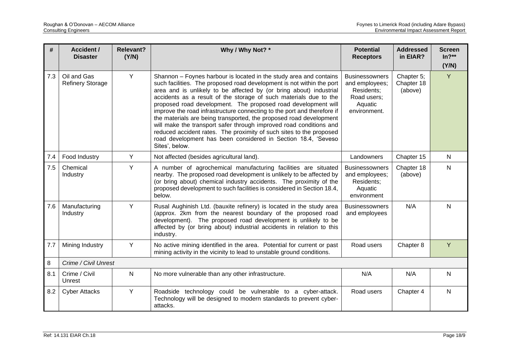| #   | <b>Accident /</b><br><b>Disaster</b>   | <b>Relevant?</b><br>(Y/N)                                                                                                                                                                                                                                                                                                                                                                                                                                                                                                                                                                                                                                                                                                                     | Why / Why Not? *                                                                                                                                                                                                                                                                                | <b>Potential</b><br><b>Receptors</b>                                                            | <b>Addressed</b><br>in EIAR?        | <b>Screen</b><br>$In?**$<br>(Y/N) |
|-----|----------------------------------------|-----------------------------------------------------------------------------------------------------------------------------------------------------------------------------------------------------------------------------------------------------------------------------------------------------------------------------------------------------------------------------------------------------------------------------------------------------------------------------------------------------------------------------------------------------------------------------------------------------------------------------------------------------------------------------------------------------------------------------------------------|-------------------------------------------------------------------------------------------------------------------------------------------------------------------------------------------------------------------------------------------------------------------------------------------------|-------------------------------------------------------------------------------------------------|-------------------------------------|-----------------------------------|
| 7.3 | Oil and Gas<br><b>Refinery Storage</b> | Y<br>Shannon - Foynes harbour is located in the study area and contains<br>such facilities. The proposed road development is not within the port<br>area and is unlikely to be affected by (or bring about) industrial<br>accidents as a result of the storage of such materials due to the<br>proposed road development. The proposed road development will<br>improve the road infrastructure connecting to the port and therefore if<br>the materials are being transported, the proposed road development<br>will make the transport safer through improved road conditions and<br>reduced accident rates. The proximity of such sites to the proposed<br>road development has been considered in Section 18.4, 'Seveso<br>Sites', below. |                                                                                                                                                                                                                                                                                                 | <b>Businessowners</b><br>and employees;<br>Residents;<br>Road users;<br>Aquatic<br>environment. | Chapter 5;<br>Chapter 18<br>(above) | Y                                 |
| 7.4 | Food Industry                          | Y                                                                                                                                                                                                                                                                                                                                                                                                                                                                                                                                                                                                                                                                                                                                             | Not affected (besides agricultural land).                                                                                                                                                                                                                                                       | Landowners                                                                                      | Chapter 15                          | $\mathsf{N}$                      |
| 7.5 | Chemical<br>Industry                   | Y                                                                                                                                                                                                                                                                                                                                                                                                                                                                                                                                                                                                                                                                                                                                             | A number of agrochemical manufacturing facilities are situated<br>nearby. The proposed road development is unlikely to be affected by<br>(or bring about) chemical industry accidents. The proximity of the<br>proposed development to such facilities is considered in Section 18.4,<br>below. | <b>Businessowners</b><br>and employees;<br>Residents;<br>Aquatic<br>environment                 | Chapter 18<br>(above)               | $\mathsf{N}$                      |
| 7.6 | Manufacturing<br>Industry              | Y<br>Rusal Aughinish Ltd. (bauxite refinery) is located in the study area<br>(approx. 2km from the nearest boundary of the proposed road<br>development). The proposed road development is unlikely to be<br>affected by (or bring about) industrial accidents in relation to this<br>industry.                                                                                                                                                                                                                                                                                                                                                                                                                                               |                                                                                                                                                                                                                                                                                                 | <b>Businessowners</b><br>and employees                                                          | N/A                                 | $\mathsf{N}$                      |
| 7.7 | Mining Industry                        | Y                                                                                                                                                                                                                                                                                                                                                                                                                                                                                                                                                                                                                                                                                                                                             | No active mining identified in the area. Potential for current or past<br>mining activity in the vicinity to lead to unstable ground conditions.                                                                                                                                                | Road users                                                                                      | Chapter 8                           | Y                                 |
| 8   | Crime / Civil Unrest                   |                                                                                                                                                                                                                                                                                                                                                                                                                                                                                                                                                                                                                                                                                                                                               |                                                                                                                                                                                                                                                                                                 |                                                                                                 |                                     |                                   |
| 8.1 | Crime / Civil<br>Unrest                | $\mathsf{N}$                                                                                                                                                                                                                                                                                                                                                                                                                                                                                                                                                                                                                                                                                                                                  | No more vulnerable than any other infrastructure.                                                                                                                                                                                                                                               | N/A                                                                                             | N/A                                 | $\mathsf{N}$                      |
| 8.2 | <b>Cyber Attacks</b>                   | Y                                                                                                                                                                                                                                                                                                                                                                                                                                                                                                                                                                                                                                                                                                                                             | Roadside technology could be vulnerable to a cyber-attack.<br>Technology will be designed to modern standards to prevent cyber-<br>attacks.                                                                                                                                                     | Road users                                                                                      | Chapter 4                           | $\mathsf{N}$                      |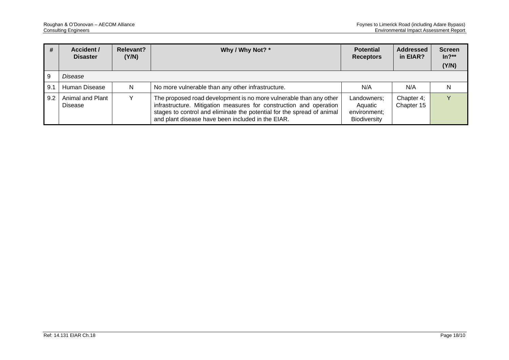| #   | Accident /<br><b>Disaster</b>                                                                                                                                                                                                                                                                          | <b>Relevant?</b><br>(Y/N) | Why / Why Not? *                                              | <b>Potential</b><br><b>Receptors</b> | <b>Addressed</b><br>in EIAR? | <b>Screen</b><br>$In?**$<br>(Y/N) |
|-----|--------------------------------------------------------------------------------------------------------------------------------------------------------------------------------------------------------------------------------------------------------------------------------------------------------|---------------------------|---------------------------------------------------------------|--------------------------------------|------------------------------|-----------------------------------|
|     | Disease                                                                                                                                                                                                                                                                                                |                           |                                                               |                                      |                              |                                   |
| 9.1 | Human Disease                                                                                                                                                                                                                                                                                          | N.                        | No more vulnerable than any other infrastructure.             | N/A                                  | N/A                          |                                   |
| 9.2 | Animal and Plant<br>The proposed road development is no more vulnerable than any other<br>infrastructure. Mitigation measures for construction and operation<br>Disease<br>stages to control and eliminate the potential for the spread of animal<br>and plant disease have been included in the EIAR. |                           | Landowners;<br>Aquatic<br>environment;<br><b>Biodiversity</b> | Chapter 4;<br>Chapter 15             |                              |                                   |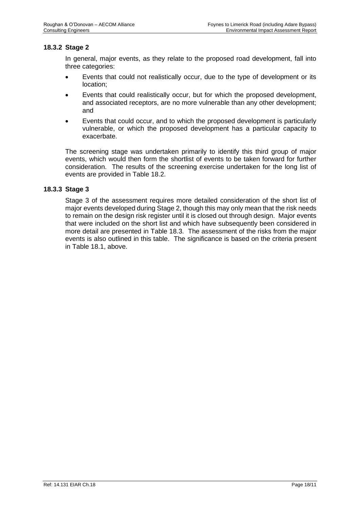#### **18.3.2 Stage 2**

In general, major events, as they relate to the proposed road development, fall into three categories:

- Events that could not realistically occur, due to the type of development or its location;
- Events that could realistically occur, but for which the proposed development, and associated receptors, are no more vulnerable than any other development; and
- Events that could occur, and to which the proposed development is particularly vulnerable, or which the proposed development has a particular capacity to exacerbate.

The screening stage was undertaken primarily to identify this third group of major events, which would then form the shortlist of events to be taken forward for further consideration. The results of the screening exercise undertaken for the long list of events are provided in [Table 18.2.](#page-5-0)

#### **18.3.3 Stage 3**

Stage 3 of the assessment requires more detailed consideration of the short list of major events developed during Stage 2, though this may only mean that the risk needs to remain on the design risk register until it is closed out through design. Major events that were included on the short list and which have subsequently been considered in more detail are presented in [Table 18.3.](#page-12-0) The assessment of the risks from the major events is also outlined in this table. The significance is based on the criteria present in [Table 18.1,](#page-3-0) above.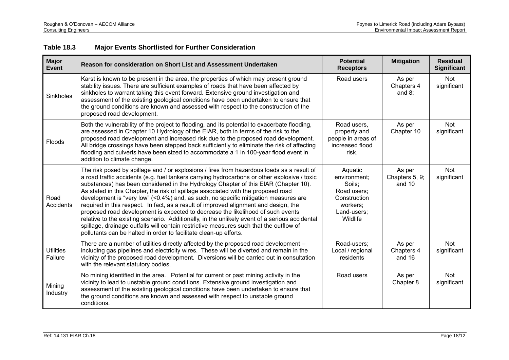<span id="page-12-0"></span>

| <b>Major</b><br><b>Event</b> | Reason for consideration on Short List and Assessment Undertaken                                                                                                                                                                                                                                                                                                                                                                                                                                                                                                                                                                                                                                                                                                                                                                                                                                          | <b>Potential</b><br><b>Receptors</b>                                                                    | <b>Mitigation</b>                  | <b>Residual</b><br><b>Significant</b> |
|------------------------------|-----------------------------------------------------------------------------------------------------------------------------------------------------------------------------------------------------------------------------------------------------------------------------------------------------------------------------------------------------------------------------------------------------------------------------------------------------------------------------------------------------------------------------------------------------------------------------------------------------------------------------------------------------------------------------------------------------------------------------------------------------------------------------------------------------------------------------------------------------------------------------------------------------------|---------------------------------------------------------------------------------------------------------|------------------------------------|---------------------------------------|
| Sinkholes                    | Karst is known to be present in the area, the properties of which may present ground<br>stability issues. There are sufficient examples of roads that have been affected by<br>sinkholes to warrant taking this event forward. Extensive ground investigation and<br>assessment of the existing geological conditions have been undertaken to ensure that<br>the ground conditions are known and assessed with respect to the construction of the<br>proposed road development.                                                                                                                                                                                                                                                                                                                                                                                                                           | Road users                                                                                              | As per<br>Chapters 4<br>and $8$ :  | Not<br>significant                    |
| Floods                       | Both the vulnerability of the project to flooding, and its potential to exacerbate flooding,<br>are assessed in Chapter 10 Hydrology of the EIAR, both in terms of the risk to the<br>proposed road development and increased risk due to the proposed road development.<br>All bridge crossings have been stepped back sufficiently to eliminate the risk of affecting<br>flooding and culverts have been sized to accommodate a 1 in 100-year flood event in<br>addition to climate change.                                                                                                                                                                                                                                                                                                                                                                                                             | Road users,<br>property and<br>people in areas of<br>increased flood<br>risk.                           | As per<br>Chapter 10               | <b>Not</b><br>significant             |
| Road<br>Accidents            | The risk posed by spillage and / or explosions / fires from hazardous loads as a result of<br>a road traffic accidents (e.g. fuel tankers carrying hydrocarbons or other explosive / toxic<br>substances) has been considered in the Hydrology Chapter of this EIAR (Chapter 10).<br>As stated in this Chapter, the risk of spillage associated with the proposed road<br>development is "very low" (<0.4%) and, as such, no specific mitigation measures are<br>required in this respect. In fact, as a result of improved alignment and design, the<br>proposed road development is expected to decrease the likelihood of such events<br>relative to the existing scenario. Additionally, in the unlikely event of a serious accidental<br>spillage, drainage outfalls will contain restrictive measures such that the outflow of<br>pollutants can be halted in order to facilitate clean-up efforts. | Aquatic<br>environment:<br>Soils:<br>Road users;<br>Construction<br>workers;<br>Land-users;<br>Wildlife | As per<br>Chapters 5, 9;<br>and 10 | Not<br>significant                    |
| <b>Utilities</b><br>Failure  | There are a number of utilities directly affected by the proposed road development -<br>including gas pipelines and electricity wires. These will be diverted and remain in the<br>vicinity of the proposed road development. Diversions will be carried out in consultation<br>with the relevant statutory bodies.                                                                                                                                                                                                                                                                                                                                                                                                                                                                                                                                                                                       | Road-users;<br>Local / regional<br>residents                                                            | As per<br>Chapters 4<br>and 16     | Not<br>significant                    |
| Mining<br>Industry           | No mining identified in the area. Potential for current or past mining activity in the<br>vicinity to lead to unstable ground conditions. Extensive ground investigation and<br>assessment of the existing geological conditions have been undertaken to ensure that<br>the ground conditions are known and assessed with respect to unstable ground<br>conditions.                                                                                                                                                                                                                                                                                                                                                                                                                                                                                                                                       | Road users                                                                                              | As per<br>Chapter 8                | Not<br>significant                    |

### **Table 18.3 Major Events Shortlisted for Further Consideration**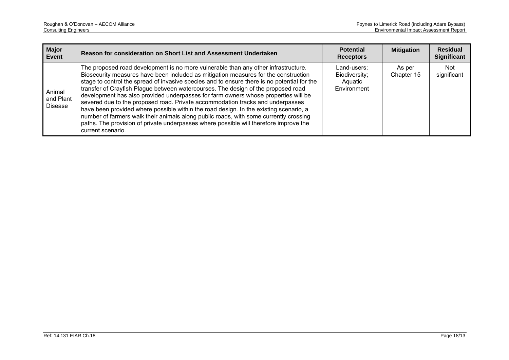| <b>Major</b><br><b>Event</b>          | Reason for consideration on Short List and Assessment Undertaken                                                                                                                                                                                                                                                                                                                                                                                                                                                                                                                                                                                                                                                                                                                                                                      | <b>Potential</b><br><b>Receptors</b>                   | <b>Mitigation</b>    | <b>Residual</b><br><b>Significant</b> |
|---------------------------------------|---------------------------------------------------------------------------------------------------------------------------------------------------------------------------------------------------------------------------------------------------------------------------------------------------------------------------------------------------------------------------------------------------------------------------------------------------------------------------------------------------------------------------------------------------------------------------------------------------------------------------------------------------------------------------------------------------------------------------------------------------------------------------------------------------------------------------------------|--------------------------------------------------------|----------------------|---------------------------------------|
| Animal<br>and Plant<br><b>Disease</b> | The proposed road development is no more vulnerable than any other infrastructure.<br>Biosecurity measures have been included as mitigation measures for the construction<br>stage to control the spread of invasive species and to ensure there is no potential for the<br>transfer of Crayfish Plague between watercourses. The design of the proposed road<br>development has also provided underpasses for farm owners whose properties will be<br>severed due to the proposed road. Private accommodation tracks and underpasses<br>have been provided where possible within the road design. In the existing scenario, a<br>number of farmers walk their animals along public roads, with some currently crossing<br>paths. The provision of private underpasses where possible will therefore improve the<br>current scenario. | Land-users;<br>Biodiversity;<br>Aquatic<br>Environment | As per<br>Chapter 15 | Not<br>significant                    |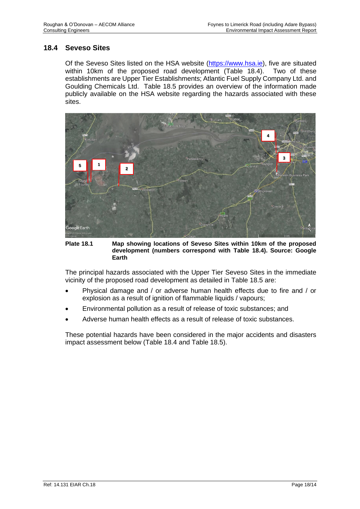#### **18.4 Seveso Sites**

Of the Seveso Sites listed on the HSA website [\(https://www.hsa.ie\)](https://www.hsa.ie/), five are situated within 10km of the proposed road development [\(Table 18.4\)](#page-15-0). Two of these establishments are Upper Tier Establishments; Atlantic Fuel Supply Company Ltd. and Goulding Chemicals Ltd. [Table 18.5](#page-16-0) provides an overview of the information made publicly available on the HSA website regarding the hazards associated with these sites.



**Plate 18.1 Map showing locations of Seveso Sites within 10km of the proposed development (numbers correspond with [Table 18.4\)](#page-15-0). Source: Google Earth**

The principal hazards associated with the Upper Tier Seveso Sites in the immediate vicinity of the proposed road development as detailed in [Table 18.5](#page-16-0) are:

- Physical damage and / or adverse human health effects due to fire and / or explosion as a result of ignition of flammable liquids / vapours;
- Environmental pollution as a result of release of toxic substances; and
- Adverse human health effects as a result of release of toxic substances.

These potential hazards have been considered in the major accidents and disasters impact assessment below [\(Table 18.4](#page-15-0) and [Table 18.5\)](#page-16-0).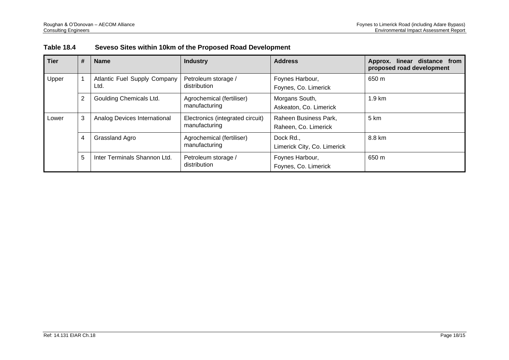| <b>Table 18.4</b> |  | Seveso Sites within 10km of the Proposed Road Development |  |
|-------------------|--|-----------------------------------------------------------|--|
|-------------------|--|-----------------------------------------------------------|--|

<span id="page-15-0"></span>

| <b>Tier</b> | $\#$ | <b>Name</b>                          | <b>Industry</b>                                   | <b>Address</b>                                | linear distance from<br>Approx.<br>proposed road development |
|-------------|------|--------------------------------------|---------------------------------------------------|-----------------------------------------------|--------------------------------------------------------------|
| Upper       |      | Atlantic Fuel Supply Company<br>Ltd. | Petroleum storage /<br>distribution               | Foynes Harbour,<br>Foynes, Co. Limerick       | 650 m                                                        |
|             | 2    | Goulding Chemicals Ltd.              | Agrochemical (fertiliser)<br>manufacturing        | Morgans South,<br>Askeaton, Co. Limerick      | $1.9 \text{ km}$                                             |
| Lower       | 3    | Analog Devices International         | Electronics (integrated circuit)<br>manufacturing | Raheen Business Park,<br>Raheen, Co. Limerick | 5 km                                                         |
|             | 4    | Grassland Agro                       | Agrochemical (fertiliser)<br>manufacturing        | Dock Rd.,<br>Limerick City, Co. Limerick      | 8.8 km                                                       |
|             | 5    | Inter Terminals Shannon Ltd.         | Petroleum storage /<br>distribution               | Foynes Harbour,<br>Foynes, Co. Limerick       | 650 m                                                        |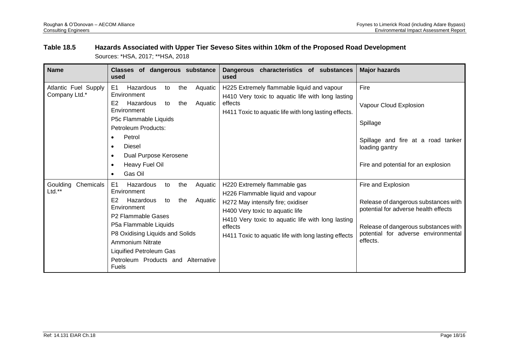#### **Table 18.5 Hazards Associated with Upper Tier Seveso Sites within 10km of the Proposed Road Development** Sources: \*HSA, 2017; \*\*HSA, 2018

<span id="page-16-0"></span>

| <b>Name</b>                           | Classes of dangerous substance<br>used                                                                                                                                                                                                                                                                                                 | Dangerous characteristics of substances<br>used                                                                                                                                                                                                                  | <b>Major hazards</b>                                                                                                                                                                          |
|---------------------------------------|----------------------------------------------------------------------------------------------------------------------------------------------------------------------------------------------------------------------------------------------------------------------------------------------------------------------------------------|------------------------------------------------------------------------------------------------------------------------------------------------------------------------------------------------------------------------------------------------------------------|-----------------------------------------------------------------------------------------------------------------------------------------------------------------------------------------------|
| Atlantic Fuel Supply<br>Company Ltd.* | E <sub>1</sub><br>Hazardous<br>Aquatic<br>the<br>to<br>Environment<br>E <sub>2</sub><br>Hazardous<br>Aquatic<br>to<br>the<br>Environment<br>P5c Flammable Liquids<br><b>Petroleum Products:</b><br>Petrol<br><b>Diesel</b><br>$\bullet$<br>Dual Purpose Kerosene<br>$\bullet$<br>Heavy Fuel Oil<br>$\bullet$<br>Gas Oil<br>$\bullet$   | H225 Extremely flammable liquid and vapour<br>H410 Very toxic to aquatic life with long lasting<br>effects<br>H411 Toxic to aquatic life with long lasting effects.                                                                                              | Fire<br>Vapour Cloud Explosion<br>Spillage<br>Spillage and fire at a road tanker<br>loading gantry<br>Fire and potential for an explosion                                                     |
| Goulding<br>Chemicals<br>Ltd.**       | E1<br>Hazardous<br>the<br>Aquatic<br>to<br>Environment<br>E <sub>2</sub><br>Hazardous<br>the<br>Aquatic<br>to<br>Environment<br>P <sub>2</sub> Flammable Gases<br>P5a Flammable Liquids<br>P8 Oxidising Liquids and Solids<br><b>Ammonium Nitrate</b><br>Liquified Petroleum Gas<br>Petroleum Products and Alternative<br><b>Fuels</b> | H220 Extremely flammable gas<br>H226 Flammable liquid and vapour<br>H272 May intensify fire; oxidiser<br>H400 Very toxic to aquatic life<br>H410 Very toxic to aquatic life with long lasting<br>effects<br>H411 Toxic to aquatic life with long lasting effects | Fire and Explosion<br>Release of dangerous substances with<br>potential for adverse health effects<br>Release of dangerous substances with<br>potential for adverse environmental<br>effects. |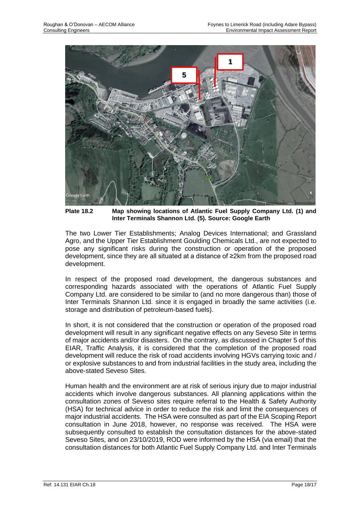

**Plate 18.2 Map showing locations of Atlantic Fuel Supply Company Ltd. (1) and Inter Terminals Shannon Ltd. (5). Source: Google Earth**

The two Lower Tier Establishments; Analog Devices International; and Grassland Agro, and the Upper Tier Establishment Goulding Chemicals Ltd., are not expected to pose any significant risks during the construction or operation of the proposed development, since they are all situated at a distance of ≥2km from the proposed road development.

In respect of the proposed road development, the dangerous substances and corresponding hazards associated with the operations of Atlantic Fuel Supply Company Ltd. are considered to be similar to (and no more dangerous than) those of Inter Terminals Shannon Ltd. since it is engaged in broadly the same activities (i.e. storage and distribution of petroleum-based fuels).

In short, it is not considered that the construction or operation of the proposed road development will result in any significant negative effects on any Seveso Site in terms of major accidents and/or disasters. On the contrary, as discussed in Chapter 5 of this EIAR, Traffic Analysis, it is considered that the completion of the proposed road development will reduce the risk of road accidents involving HGVs carrying toxic and / or explosive substances to and from industrial facilities in the study area, including the above-stated Seveso Sites.

Human health and the environment are at risk of serious injury due to major industrial accidents which involve dangerous substances. All planning applications within the consultation zones of Seveso sites require referral to the Health & Safety Authority (HSA) for technical advice in order to reduce the risk and limit the consequences of major industrial accidents. The HSA were consulted as part of the EIA Scoping Report consultation in June 2018, however, no response was received. The HSA were subsequently consulted to establish the consultation distances for the above-stated Seveso Sites, and on 23/10/2019, ROD were informed by the HSA (via email) that the consultation distances for both Atlantic Fuel Supply Company Ltd. and Inter Terminals